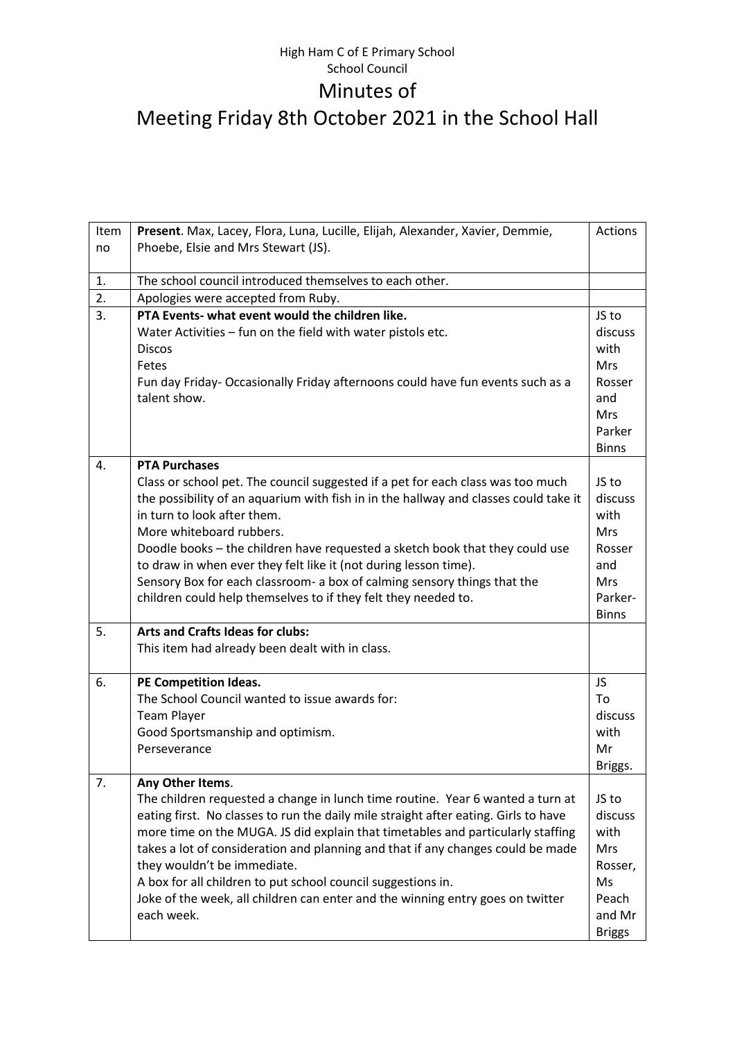## High Ham C of E Primary School School Council Minutes of Meeting Friday 8th October 2021 in the School Hall

| Item             | Present. Max, Lacey, Flora, Luna, Lucille, Elijah, Alexander, Xavier, Demmie,        | Actions       |
|------------------|--------------------------------------------------------------------------------------|---------------|
| no               | Phoebe, Elsie and Mrs Stewart (JS).                                                  |               |
|                  |                                                                                      |               |
| 1.               | The school council introduced themselves to each other.                              |               |
| $\overline{2}$ . | Apologies were accepted from Ruby.                                                   |               |
| 3.               | PTA Events- what event would the children like.                                      | JS to         |
|                  | Water Activities - fun on the field with water pistols etc.                          | discuss       |
|                  | <b>Discos</b>                                                                        | with          |
|                  | Fetes                                                                                | <b>Mrs</b>    |
|                  | Fun day Friday- Occasionally Friday afternoons could have fun events such as a       | Rosser        |
|                  | talent show.                                                                         | and           |
|                  |                                                                                      | Mrs<br>Parker |
|                  |                                                                                      | <b>Binns</b>  |
| 4.               | <b>PTA Purchases</b>                                                                 |               |
|                  | Class or school pet. The council suggested if a pet for each class was too much      | JS to         |
|                  | the possibility of an aquarium with fish in in the hallway and classes could take it | discuss       |
|                  | in turn to look after them.                                                          | with          |
|                  | More whiteboard rubbers.                                                             | <b>Mrs</b>    |
|                  | Doodle books - the children have requested a sketch book that they could use         | Rosser        |
|                  | to draw in when ever they felt like it (not during lesson time).                     | and           |
|                  | Sensory Box for each classroom- a box of calming sensory things that the             | <b>Mrs</b>    |
|                  | children could help themselves to if they felt they needed to.                       | Parker-       |
|                  |                                                                                      | <b>Binns</b>  |
| 5.               | <b>Arts and Crafts Ideas for clubs:</b>                                              |               |
|                  | This item had already been dealt with in class.                                      |               |
| 6.               | PE Competition Ideas.                                                                | JS            |
|                  | The School Council wanted to issue awards for:                                       | To            |
|                  | <b>Team Player</b>                                                                   | discuss       |
|                  | Good Sportsmanship and optimism.                                                     | with          |
|                  | Perseverance                                                                         | Mr            |
|                  |                                                                                      | Briggs.       |
| 7.               | Any Other Items.                                                                     |               |
|                  | The children requested a change in lunch time routine. Year 6 wanted a turn at       | JS to         |
|                  | eating first. No classes to run the daily mile straight after eating. Girls to have  | discuss       |
|                  | more time on the MUGA. JS did explain that timetables and particularly staffing      | with          |
|                  | takes a lot of consideration and planning and that if any changes could be made      | Mrs           |
|                  | they wouldn't be immediate.                                                          | Rosser,       |
|                  | A box for all children to put school council suggestions in.                         | Ms            |
|                  | Joke of the week, all children can enter and the winning entry goes on twitter       | Peach         |
|                  | each week.                                                                           | and Mr        |
|                  |                                                                                      | <b>Briggs</b> |